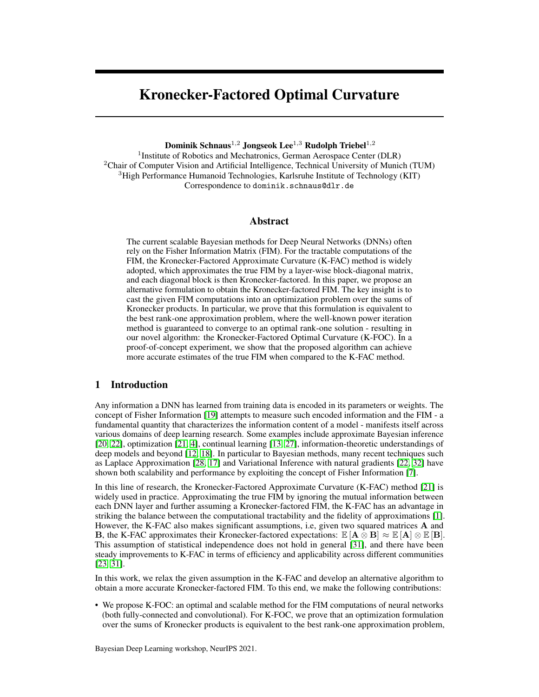# Kronecker-Factored Optimal Curvature

Dominik Schnaus<sup>1,2</sup> Jongseok Lee<sup>1,3</sup> Rudolph Triebel<sup>1,2</sup>

<sup>1</sup> Institute of Robotics and Mechatronics, German Aerospace Center (DLR)  ${}^{2}$ Chair of Computer Vision and Artificial Intelligence, Technical University of Munich (TUM) <sup>3</sup>High Performance Humanoid Technologies, Karlsruhe Institute of Technology (KIT) Correspondence to dominik.schnaus@dlr.de

## Abstract

The current scalable Bayesian methods for Deep Neural Networks (DNNs) often rely on the Fisher Information Matrix (FIM). For the tractable computations of the FIM, the Kronecker-Factored Approximate Curvature (K-FAC) method is widely adopted, which approximates the true FIM by a layer-wise block-diagonal matrix, and each diagonal block is then Kronecker-factored. In this paper, we propose an alternative formulation to obtain the Kronecker-factored FIM. The key insight is to cast the given FIM computations into an optimization problem over the sums of Kronecker products. In particular, we prove that this formulation is equivalent to the best rank-one approximation problem, where the well-known power iteration method is guaranteed to converge to an optimal rank-one solution - resulting in our novel algorithm: the Kronecker-Factored Optimal Curvature (K-FOC). In a proof-of-concept experiment, we show that the proposed algorithm can achieve more accurate estimates of the true FIM when compared to the K-FAC method.

# 1 Introduction

Any information a DNN has learned from training data is encoded in its parameters or weights. The concept of Fisher Information [\[19\]](#page-8-0) attempts to measure such encoded information and the FIM - a fundamental quantity that characterizes the information content of a model - manifests itself across various domains of deep learning research. Some examples include approximate Bayesian inference [\[20,](#page-8-1) [22\]](#page-8-2), optimization [\[21,](#page-8-3) [4\]](#page-7-0), continual learning [\[13,](#page-8-4) [27\]](#page-9-0), information-theoretic understandings of deep models and beyond [\[12,](#page-8-5) [18\]](#page-8-6). In particular to Bayesian methods, many recent techniques such as Laplace Approximation [\[28,](#page-9-1) [17\]](#page-8-7) and Variational Inference with natural gradients [\[22,](#page-8-2) [32\]](#page-9-2) have shown both scalability and performance by exploiting the concept of Fisher Information [\[7\]](#page-7-1).

In this line of research, the Kronecker-Factored Approximate Curvature (K-FAC) method [\[21\]](#page-8-3) is widely used in practice. Approximating the true FIM by ignoring the mutual information between each DNN layer and further assuming a Kronecker-factored FIM, the K-FAC has an advantage in striking the balance between the computational tractability and the fidelity of approximations [\[1\]](#page-7-2). However, the K-FAC also makes significant assumptions, i.e, given two squared matrices A and B, the K-FAC approximates their Kronecker-factored expectations:  $\mathbb{E} [\mathbf{A} \otimes \mathbf{B}] \approx \mathbb{E} [\mathbf{A}] \otimes \mathbb{E} [\mathbf{B}]$ . This assumption of statistical independence does not hold in general [\[31\]](#page-9-3), and there have been steady improvements to K-FAC in terms of efficiency and applicability across different communities [\[23,](#page-8-8) [31\]](#page-9-3).

In this work, we relax the given assumption in the K-FAC and develop an alternative algorithm to obtain a more accurate Kronecker-factored FIM. To this end, we make the following contributions:

• We propose K-FOC: an optimal and scalable method for the FIM computations of neural networks (both fully-connected and convolutional). For K-FOC, we prove that an optimization formulation over the sums of Kronecker products is equivalent to the best rank-one approximation problem,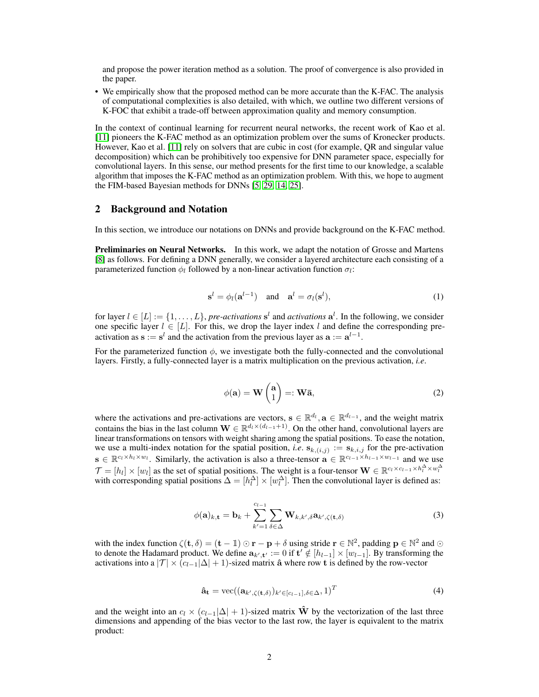and propose the power iteration method as a solution. The proof of convergence is also provided in the paper.

• We empirically show that the proposed method can be more accurate than the K-FAC. The analysis of computational complexities is also detailed, with which, we outline two different versions of K-FOC that exhibit a trade-off between approximation quality and memory consumption.

In the context of continual learning for recurrent neural networks, the recent work of Kao et al. [\[11\]](#page-8-9) pioneers the K-FAC method as an optimization problem over the sums of Kronecker products. However, Kao et al. [\[11\]](#page-8-9) rely on solvers that are cubic in cost (for example, QR and singular value decomposition) which can be prohibitively too expensive for DNN parameter space, especially for convolutional layers. In this sense, our method presents for the first time to our knowledge, a scalable algorithm that imposes the K-FAC method as an optimization problem. With this, we hope to augment the FIM-based Bayesian methods for DNNs [\[5,](#page-7-3) [29,](#page-9-4) [14,](#page-8-10) [25\]](#page-9-5).

# 2 Background and Notation

In this section, we introduce our notations on DNNs and provide background on the K-FAC method.

Preliminaries on Neural Networks. In this work, we adapt the notation of Grosse and Martens [\[8\]](#page-8-11) as follows. For defining a DNN generally, we consider a layered architecture each consisting of a parameterized function  $\phi_l$  followed by a non-linear activation function  $\sigma_l$ :

$$
\mathbf{s}^l = \phi_l(\mathbf{a}^{l-1}) \quad \text{and} \quad \mathbf{a}^l = \sigma_l(\mathbf{s}^l), \tag{1}
$$

for layer  $l \in [L] := \{1, \ldots, L\}$ , *pre-activations*  $s^l$  and *activations*  $a^l$ . In the following, we consider one specific layer  $l \in [L]$ . For this, we drop the layer index l and define the corresponding preactivation as  $\mathbf{s} := \mathbf{s}^l$  and the activation from the previous layer as  $\mathbf{a} := \mathbf{a}^{l-1}$ .

For the parameterized function  $\phi$ , we investigate both the fully-connected and the convolutional layers. Firstly, a fully-connected layer is a matrix multiplication on the previous activation, *i.e*.

$$
\phi(\mathbf{a}) = \mathbf{W} \begin{pmatrix} \mathbf{a} \\ 1 \end{pmatrix} =: \mathbf{W}\bar{\mathbf{a}},\tag{2}
$$

where the activations and pre-activations are vectors,  $\mathbf{s} \in \mathbb{R}^{d_l}$ ,  $\mathbf{a} \in \mathbb{R}^{d_{l-1}}$ , and the weight matrix contains the bias in the last column  $\mathbf{W} \in \mathbb{R}^{d_l \times (d_{l-1}+1)}$ . On the other hand, convolutional layers are linear transformations on tensors with weight sharing among the spatial positions. To ease the notation, we use a multi-index notation for the spatial position, *i.e.*  $\mathbf{s}_{k,(i,j)} := \mathbf{s}_{k,i,j}$  for the pre-activation  $\mathbf{s} \in \mathbb{R}^{c_l \times h_l \times w_l}$ . Similarly, the activation is also a three-tensor  $\mathbf{a} \in \mathbb{R}^{c_l-1} \times h_{l-1} \times w_{l-1}$  and we use  $\mathcal{T} = [h_l] \times [w_l]$  as the set of spatial positions. The weight is a four-tensor  $\mathbf{W} \in \mathbb{R}^{c_l \times c_{l-1} \times h_l^{\Delta} \times w_l^{\Delta}}$ with corresponding spatial positions  $\Delta = [h_l^{\Delta}] \times [w_l^{\Delta}]$ . Then the convolutional layer is defined as:

$$
\phi(\mathbf{a})_{k,\mathbf{t}} = \mathbf{b}_k + \sum_{k'=1}^{c_{l-1}} \sum_{\delta \in \Delta} \mathbf{W}_{k,k',\delta} \mathbf{a}_{k',\zeta(\mathbf{t},\delta)} \tag{3}
$$

with the index function  $\zeta(t, \delta) = (t - 1) \odot r - p + \delta$  using stride  $r \in \mathbb{N}^2$ , padding  $p \in \mathbb{N}^2$  and  $\odot$ to denote the Hadamard product. We define  $a_{k',t'} := 0$  if  $t' \notin [h_{l-1}] \times [w_{l-1}]$ . By transforming the activations into a  $|T| \times (c_{l-1}|\Delta| + 1)$ -sized matrix  $\hat{\mathbf{a}}$  where row t is defined by the row-vector

$$
\hat{\mathbf{a}}_{\mathbf{t}} = \text{vec}((\mathbf{a}_{k',\zeta(\mathbf{t},\delta)})_{k' \in [c_{l-1}],\delta \in \Delta}, 1)^{T}
$$
(4)

and the weight into an  $c_l \times (c_{l-1}|\Delta| + 1)$ -sized matrix  $\hat{\bf W}$  by the vectorization of the last three dimensions and appending of the bias vector to the last row, the layer is equivalent to the matrix product: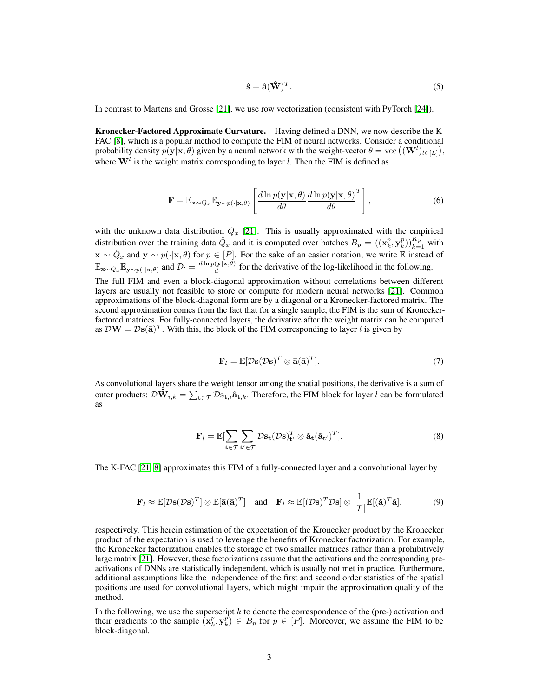$$
\hat{\mathbf{s}} = \hat{\mathbf{a}}(\hat{\mathbf{W}})^T. \tag{5}
$$

In contrast to Martens and Grosse [\[21\]](#page-8-3), we use row vectorization (consistent with PyTorch [\[24\]](#page-8-12)).

Kronecker-Factored Approximate Curvature. Having defined a DNN, we now describe the K-FAC [\[8\]](#page-8-11), which is a popular method to compute the FIM of neural networks. Consider a conditional probability density  $p(\mathbf{y}|\mathbf{x}, \theta)$  given by a neural network with the weight-vector  $\theta = \text{vec}((\mathbf{W}^l)_{l \in [L]})$ , where  $W<sup>l</sup>$  is the weight matrix corresponding to layer *l*. Then the FIM is defined as

$$
\mathbf{F} = \mathbb{E}_{\mathbf{x} \sim Q_x} \mathbb{E}_{\mathbf{y} \sim p(\cdot | \mathbf{x}, \theta)} \left[ \frac{d \ln p(\mathbf{y} | \mathbf{x}, \theta)}{d \theta} \frac{d \ln p(\mathbf{y} | \mathbf{x}, \theta)}{d \theta}^T \right],
$$
(6)

with the unknown data distribution  $Q_x$  [\[21\]](#page-8-3). This is usually approximated with the empirical distribution over the training data  $\hat{Q}_x$  and it is computed over batches  $B_p = ((\mathbf{x}_k^p, \mathbf{y}_k^p))_{k=1}^{K_p}$  with  $\mathbf{x} \sim \hat{Q}_x$  and  $\mathbf{y} \sim p(\cdot|\mathbf{x}, \theta)$  for  $p \in [P]$ . For the sake of an easier notation, we write  $\mathbb E$  instead of  $\mathbb{E}_{\mathbf{x}\sim Q_x}\mathbb{E}_{\mathbf{y}\sim p(\cdot|\mathbf{x},\theta)}$  and  $\mathcal{D}\cdot = \frac{d\ln p(\mathbf{y}|\mathbf{x},\theta)}{d\cdot}$  $\frac{(\mathbf{y}|\mathbf{x}, \theta)}{d}$  for the derivative of the log-likelihood in the following.

The full FIM and even a block-diagonal approximation without correlations between different layers are usually not feasible to store or compute for modern neural networks [\[21\]](#page-8-3). Common approximations of the block-diagonal form are by a diagonal or a Kronecker-factored matrix. The second approximation comes from the fact that for a single sample, the FIM is the sum of Kroneckerfactored matrices. For fully-connected layers, the derivative after the weight matrix can be computed as  $\mathcal{D}\mathbf{W} = \mathcal{D}\mathbf{s}(\mathbf{\bar{a}})^T$ . With this, the block of the FIM corresponding to layer l is given by

<span id="page-2-0"></span>
$$
\mathbf{F}_l = \mathbb{E}[\mathcal{D}\mathbf{s}(\mathcal{D}\mathbf{s})^T \otimes \mathbf{\bar{a}}(\mathbf{\bar{a}})^T]. \tag{7}
$$

As convolutional layers share the weight tensor among the spatial positions, the derivative is a sum of outer products:  $\mathcal{D}\mathbf{\hat{W}}_{i,k} = \sum_{\mathbf{t}\in\mathcal{T}}\mathcal{D}\mathbf{s}_{\mathbf{t},i}\mathbf{\hat{a}}_{\mathbf{t},k}.$  Therefore, the FIM block for layer  $l$  can be formulated as

$$
\mathbf{F}_{l} = \mathbb{E}[\sum_{\mathbf{t}\in\mathcal{T}}\sum_{\mathbf{t}'\in\mathcal{T}}\mathcal{D}\mathbf{s}_{\mathbf{t}}(\mathcal{D}\mathbf{s})_{\mathbf{t}'}^{T} \otimes \hat{\mathbf{a}}_{\mathbf{t}}(\hat{\mathbf{a}}_{\mathbf{t}'})^{T}].
$$
\n(8)

The K-FAC [\[21,](#page-8-3) [8\]](#page-8-11) approximates this FIM of a fully-connected layer and a convolutional layer by

$$
\mathbf{F}_l \approx \mathbb{E}[\mathcal{D}\mathbf{s}(\mathcal{D}\mathbf{s})^T] \otimes \mathbb{E}[\mathbf{\bar{a}}(\mathbf{\bar{a}})^T]
$$
 and  $\mathbf{F}_l \approx \mathbb{E}[(\mathcal{D}\mathbf{s})^T \mathcal{D}\mathbf{s}] \otimes \frac{1}{|\mathcal{T}|} \mathbb{E}[(\mathbf{\hat{a}})^T \mathbf{\hat{a}}],$  (9)

respectively. This herein estimation of the expectation of the Kronecker product by the Kronecker product of the expectation is used to leverage the benefits of Kronecker factorization. For example, the Kronecker factorization enables the storage of two smaller matrices rather than a prohibitively large matrix [\[21\]](#page-8-3). However, these factorizations assume that the activations and the corresponding preactivations of DNNs are statistically independent, which is usually not met in practice. Furthermore, additional assumptions like the independence of the first and second order statistics of the spatial positions are used for convolutional layers, which might impair the approximation quality of the method.

In the following, we use the superscript  $k$  to denote the correspondence of the (pre-) activation and their gradients to the sample  $(x_k^p, y_k^p) \in B_p$  for  $p \in [P]$ . Moreover, we assume the FIM to be block-diagonal.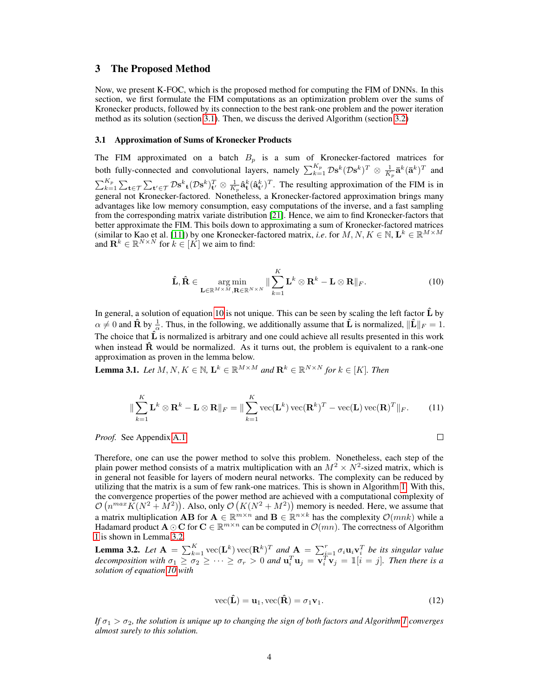# 3 The Proposed Method

Now, we present K-FOC, which is the proposed method for computing the FIM of DNNs. In this section, we first formulate the FIM computations as an optimization problem over the sums of Kronecker products, followed by its connection to the best rank-one problem and the power iteration method as its solution (section [3.1\)](#page-3-0). Then, we discuss the derived Algorithm (section [3.2\)](#page-4-0)

#### <span id="page-3-0"></span>3.1 Approximation of Sums of Kronecker Products

The FIM approximated on a batch  $B_p$  is a sum of Kronecker-factored matrices for both fully-connected and convolutional layers, namely  $\sum_{k=1}^{K_p} \mathcal{D} s^k (\mathcal{D} s^k)^T \otimes \frac{1}{K_p} \bar{a}^k (\bar{a}^k)^T$  and  $\sum_{k=1}^{K_p} \sum_{\mathbf{t}' \in \mathcal{T}} \sum_{\mathbf{t}' \in \mathcal{T}} \mathcal{D} \mathbf{s}^k \mathbf{t} (\mathcal{D} \mathbf{s}^k) \mathbf{t}' \otimes \frac{1}{K_p} \hat{\mathbf{a}}^k \mathbf{t} (\hat{\mathbf{a}}^k \mathbf{t}')^T$ . The resulting approximation of the FIM is in general not Kronecker-factored. Nonetheless, a Kronecker-factored approximation brings many advantages like low memory consumption, easy computations of the inverse, and a fast sampling from the corresponding matrix variate distribution [\[21\]](#page-8-3). Hence, we aim to find Kronecker-factors that better approximate the FIM. This boils down to approximating a sum of Kronecker-factored matrices (similar to Kao et al. [\[11\]](#page-8-9)) by one Kronecker-factored matrix, *i.e.* for  $M, N, K \in \mathbb{N}$ ,  $\mathbf{L}^k \in \mathbb{R}^{M \times M}$ and  $\mathbf{R}^k \in \mathbb{R}^{N \times N}$  for  $k \in [K]$  we aim to find:

$$
\hat{\mathbf{L}}, \hat{\mathbf{R}} \in \underset{\mathbf{L} \in \mathbb{R}^{M \times M}, \mathbf{R} \in \mathbb{R}^{N \times N}}{\arg \min} \|\sum_{k=1}^{K} \mathbf{L}^{k} \otimes \mathbf{R}^{k} - \mathbf{L} \otimes \mathbf{R} \|_{F}.
$$
\n(10)

In general, a solution of equation [10](#page-3-1) is not unique. This can be seen by scaling the left factor  $\hat{L}$  by  $\alpha \neq 0$  and  $\hat{\mathbf{R}}$  by  $\frac{1}{\alpha}$ . Thus, in the following, we additionally assume that  $\hat{\mathbf{L}}$  is normalized,  $\|\hat{\mathbf{L}}\|_F = 1$ . The choice that  $\hat{L}$  is normalized is arbitrary and one could achieve all results presented in this work when instead  $\hat{R}$  would be normalized. As it turns out, the problem is equivalent to a rank-one approximation as proven in the lemma below.

<span id="page-3-3"></span>**Lemma 3.1.** *Let*  $M, N, K \in \mathbb{N}$ ,  $\mathbf{L}^k \in \mathbb{R}^{M \times M}$  and  $\mathbf{R}^k \in \mathbb{R}^{N \times N}$  for  $k \in [K]$ . Then

$$
\|\sum_{k=1}^{K} \mathbf{L}^{k} \otimes \mathbf{R}^{k} - \mathbf{L} \otimes \mathbf{R}\|_{F} = \|\sum_{k=1}^{K} \text{vec}(\mathbf{L}^{k}) \text{vec}(\mathbf{R}^{k})^{T} - \text{vec}(\mathbf{L}) \text{vec}(\mathbf{R})^{T}\|_{F}.
$$
 (11)

*Proof.* See Appendix [A.1.](#page-10-0)

<span id="page-3-5"></span><span id="page-3-4"></span><span id="page-3-1"></span> $\Box$ 

Therefore, one can use the power method to solve this problem. Nonetheless, each step of the plain power method consists of a matrix multiplication with an  $M^2 \times N^2$ -sized matrix, which is in general not feasible for layers of modern neural networks. The complexity can be reduced by utilizing that the matrix is a sum of few rank-one matrices. This is shown in Algorithm [1.](#page-4-1) With this, the convergence properties of the power method are achieved with a computational complexity of  $\mathcal{O}(n^{max}K(N^2 + M^2))$ . Also, only  $\mathcal{O}(K(N^2 + M^2))$  memory is needed. Here, we assume that a matrix multiplication **AB** for  $A \in \mathbb{R}^{m \times n}$  and  $B \in \mathbb{R}^{n \times k}$  has the complexity  $\mathcal{O}(mnk)$  while a Hadamard product  $\mathbf{A} \odot \mathbf{C}$  for  $\mathbf{C} \in \mathbb{R}^{m \times n}$  can be computed in  $\mathcal{O}(mn)$ . The correctness of Algorithm [1](#page-4-1) is shown in Lemma [3.2.](#page-3-2)

<span id="page-3-2"></span>**Lemma 3.2.** Let  $\mathbf{A} = \sum_{k=1}^{K}$  vec $(\mathbf{L}^{k})$  vec $(\mathbf{R}^{k})^{T}$  and  $\mathbf{A} = \sum_{i=1}^{r} \sigma_{i} \mathbf{u}_{i} \mathbf{v}_{i}^{T}$  be its singular value *decomposition with*  $\sigma_1 \geq \sigma_2 \geq \cdots \geq \sigma_r > 0$  and  $\mathbf{u}_i^T \mathbf{u}_j = \overline{\mathbf{v}_i^T} \mathbf{v}_j = \mathbb{1}[i = j]$ . Then there is a *solution of equation [10](#page-3-1) with*

$$
\text{vec}(\hat{\mathbf{L}}) = \mathbf{u}_1, \text{vec}(\hat{\mathbf{R}}) = \sigma_1 \mathbf{v}_1.
$$
 (12)

*If*  $\sigma_1 > \sigma_2$ , the solution is unique up to changing the sign of both factors and Algorithm [1](#page-4-1) converges *almost surely to this solution.*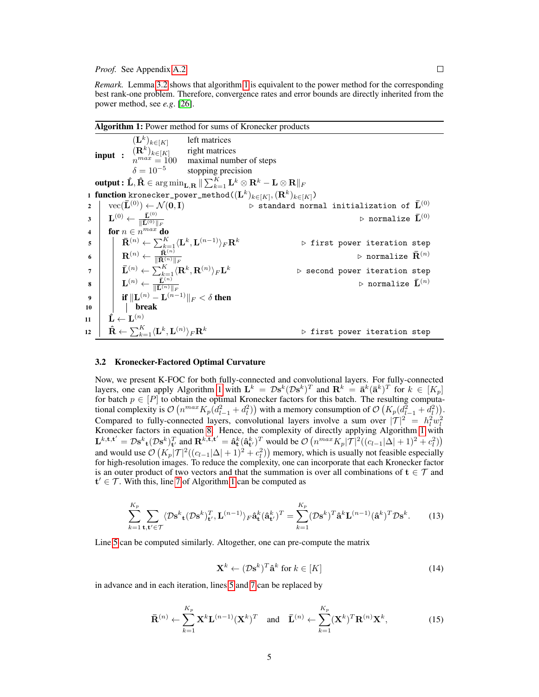*Remark.* Lemma [3.2](#page-3-2) shows that algorithm [1](#page-4-1) is equivalent to the power method for the corresponding best rank-one problem. Therefore, convergence rates and error bounds are directly inherited from the power method, see *e.g*. [\[26\]](#page-9-6).

<span id="page-4-3"></span><span id="page-4-1"></span>

| <b>Algorithm 1:</b> Power method for sums of Kronecker products                                                                                                                |                                                                                                                                       |                                       |                                                                             |                                                     |  |  |  |  |  |  |  |
|--------------------------------------------------------------------------------------------------------------------------------------------------------------------------------|---------------------------------------------------------------------------------------------------------------------------------------|---------------------------------------|-----------------------------------------------------------------------------|-----------------------------------------------------|--|--|--|--|--|--|--|
|                                                                                                                                                                                | $(L^k)_{k \in [K]}$ left matrices                                                                                                     |                                       |                                                                             |                                                     |  |  |  |  |  |  |  |
|                                                                                                                                                                                | <b>input</b> : $(\mathbf{R}^k)_{k \in [K]}$ right matrices<br>$n^{max} = 100$ maximal number of steps                                 |                                       |                                                                             |                                                     |  |  |  |  |  |  |  |
|                                                                                                                                                                                |                                                                                                                                       |                                       |                                                                             |                                                     |  |  |  |  |  |  |  |
|                                                                                                                                                                                |                                                                                                                                       | $\delta = 10^{-5}$ stopping precision |                                                                             |                                                     |  |  |  |  |  |  |  |
| <b>output:</b> $\hat{\mathbf{L}}, \hat{\mathbf{R}} \in \arg\min_{\mathbf{L}, \mathbf{R}} \ \sum_{k=1}^K \mathbf{L}^k \otimes \mathbf{R}^k - \mathbf{L} \otimes \mathbf{R}\ _F$ |                                                                                                                                       |                                       |                                                                             |                                                     |  |  |  |  |  |  |  |
| 1 function kronecker_power_method( $(\mathbf{L}^k)_{k \in [K]}, (\mathbf{R}^k)_{k \in [K]})$                                                                                   |                                                                                                                                       |                                       |                                                                             |                                                     |  |  |  |  |  |  |  |
| $\overline{2}$                                                                                                                                                                 | $vec(\{\mathbf{L}}^{(0)}) \leftarrow \mathcal{N}(\mathbf{0}, \mathbf{I})$                                                             |                                       | $\triangleright$ standard normal initialization of $\bar{\mathbf{L}}^{(0)}$ |                                                     |  |  |  |  |  |  |  |
|                                                                                                                                                                                | $\mathbf{L}^{(0)} \leftarrow \frac{\bar{\mathbf{L}}^{(0)}}{\ \bar{\mathbf{L}}^{(0)}\ _F}$                                             |                                       |                                                                             | $\triangleright$ normalize $\bar{\mathbf{L}}^{(0)}$ |  |  |  |  |  |  |  |
| $\overline{\mathbf{4}}$                                                                                                                                                        | for $n \in n^{max}$ do                                                                                                                |                                       |                                                                             |                                                     |  |  |  |  |  |  |  |
| 5                                                                                                                                                                              | $\bar{\mathbf{R}}^{(n)} \leftarrow \sum_{k=1}^{K} \langle \mathbf{L}^{k}, \mathbf{L}^{(n-1)} \rangle_{F} \mathbf{R}^{k}$              |                                       |                                                                             | $\triangleright$ first power iteration step         |  |  |  |  |  |  |  |
| 6                                                                                                                                                                              | $\mathbf{R}^{(n)} \leftarrow \frac{\bar{\mathbf{R}}^{(n)}}{\ \bar{\mathbf{R}}^{(n)}\ _F}$                                             |                                       |                                                                             | $\triangleright$ normalize $\bar{\mathbf{R}}^{(n)}$ |  |  |  |  |  |  |  |
| $\overline{7}$                                                                                                                                                                 | $\quad \quad \bar{\mathbf{L}}^{(n)} \leftarrow \sum_{k=1}^K \langle \mathbf{R}^k, \mathbf{R}^{(n)} \rangle_F \mathbf{L}^k$            |                                       |                                                                             | $\triangleright$ second power iteration step        |  |  |  |  |  |  |  |
| 8                                                                                                                                                                              | $\begin{array}{ c c c } \hline \ & {\bf L}^{(n)} \leftarrow \frac{\bar{{\bf L}}^{(n)}}{\ \bar{{\bf L}}^{(n)}\ _F} \hline \end{array}$ |                                       |                                                                             | $\triangleright$ normalize $\bar{\mathbf{L}}^{(n)}$ |  |  |  |  |  |  |  |
| $\boldsymbol{q}$                                                                                                                                                               | <b>if</b> $\ \mathbf{L}^{(n)} - \mathbf{L}^{(n-1)}\ _F < \delta$ then                                                                 |                                       |                                                                             |                                                     |  |  |  |  |  |  |  |
| 10                                                                                                                                                                             | break                                                                                                                                 |                                       |                                                                             |                                                     |  |  |  |  |  |  |  |
| 11                                                                                                                                                                             | $\hat{\mathbf{L}} \leftarrow \mathbf{L}^{(n)}$                                                                                        |                                       |                                                                             |                                                     |  |  |  |  |  |  |  |
| 12                                                                                                                                                                             | $\hat{\mathbf{R}} \leftarrow \sum_{k=1}^K \langle \mathbf{L}^k, \mathbf{L}^{(n)} \rangle_F \mathbf{R}^k$                              |                                       |                                                                             | $\triangleright$ first power iteration step         |  |  |  |  |  |  |  |

#### <span id="page-4-2"></span><span id="page-4-0"></span>3.2 Kronecker-Factored Optimal Curvature

Now, we present K-FOC for both fully-connected and convolutional layers. For fully-connected layers, one can apply Algorithm [1](#page-4-1) with  $L^k = \mathcal{D}s^k(\mathcal{D}s^k)^T$  and  $\mathbf{R}^k = \bar{\mathbf{a}}^k(\bar{\mathbf{a}}^k)^T$  for  $k \in [K_p]$ for batch  $p \in [P]$  to obtain the optimal Kronecker factors for this batch. The resulting computational complexity is  $\mathcal{O}(n^{max} K_p(d_{l-1}^2 + d_l^2))$  with a memory consumption of  $\mathcal{O}(K_p(d_{l-1}^2 + d_l^2)).$ Compared to fully-connected layers, convolutional layers involve a sum over  $|\mathcal{T}|^2 = h_l^2 w_l^2$ <br>Kronecker factors in equation [8.](#page-2-0) Hence, the complexity of directly applying Algorithm [1](#page-4-1) with  $\mathbf{L}^{k,\mathbf{t},\mathbf{t}'} = \mathcal{D}\mathbf{s}^k{}_{\mathbf{t}}(\mathcal{D}\mathbf{s}^k)^T_{\mathbf{t}'}$  and  $\mathbf{R}^{k,\mathbf{t},\mathbf{t}'} = \hat{\mathbf{a}}^k_{\mathbf{t}}(\hat{\mathbf{a}}^k_{\mathbf{t}'})^T$  would be  $\mathcal{O}\left(n^{max}K_p|\mathcal{T}|^2((c_{l-1}|\Delta|+1)^2+c_l^2)\right)$ and would use  $\mathcal{O}(K_p|\mathcal{T}|^2((c_{l-1}|\Delta|+1)^2+c_l^2))$  memory, which is usually not feasible especially for high-resolution images. To reduce the complexity, one can incorporate that each Kronecker factor is an outer product of two vectors and that the summation is over all combinations of  $t \in \mathcal{T}$  and  $t' \in \mathcal{T}$ . With this, line [7](#page-4-2) of Algorithm [1](#page-4-1) can be computed as

$$
\sum_{k=1}^{K_p} \sum_{\mathbf{t}, \mathbf{t}' \in \mathcal{T}} \langle \mathcal{D}\mathbf{s}^k_{\mathbf{t}} (\mathcal{D}\mathbf{s}^k)_{\mathbf{t}'}^T, \mathbf{L}^{(n-1)} \rangle_F \hat{\mathbf{a}}_{\mathbf{t}}^k (\hat{\mathbf{a}}_{\mathbf{t}'}^k)^T = \sum_{k=1}^{K_p} (\mathcal{D}\mathbf{s}^k)^T \hat{\mathbf{a}}^k \mathbf{L}^{(n-1)} (\hat{\mathbf{a}}^k)^T \mathcal{D}\mathbf{s}^k.
$$
 (13)

Line [5](#page-4-3) can be computed similarly. Altogether, one can pre-compute the matrix

$$
\mathbf{X}^k \leftarrow (\mathcal{D}\mathbf{s}^k)^T \hat{\mathbf{a}}^k \text{ for } k \in [K]
$$
 (14)

in advance and in each iteration, lines [5](#page-4-3) and [7](#page-4-2) can be replaced by

$$
\bar{\mathbf{R}}^{(n)} \leftarrow \sum_{k=1}^{K_p} \mathbf{X}^k \mathbf{L}^{(n-1)} (\mathbf{X}^k)^T \quad \text{and} \quad \bar{\mathbf{L}}^{(n)} \leftarrow \sum_{k=1}^{K_p} (\mathbf{X}^k)^T \mathbf{R}^{(n)} \mathbf{X}^k, \tag{15}
$$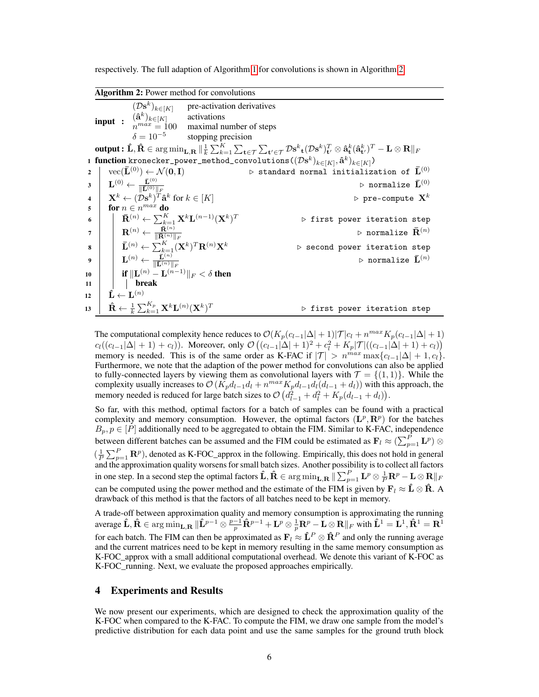respectively. The full adaption of Algorithm [1](#page-4-1) for convolutions is shown in Algorithm [2.](#page-5-0)

|  |  |  | Algorithm 2: Power method for convolutions |
|--|--|--|--------------------------------------------|
|--|--|--|--------------------------------------------|

<span id="page-5-0"></span>input :  $(\mathcal{D}s^k$ pre-activation derivatives<br>activations  $(\hat{\mathbf{a}}^k)_{k \in [K]}$  activations n maximal number of steps  $\delta = 10^{-5}$ stopping precision output :  $\mathbf{\hat{L}}, \mathbf{\hat{R}} \in \argmin_{\mathbf{L}, \mathbf{R}} \|_{\frac{1}{k}}^1 \sum_{k=1}^K \sum_{\mathbf{t} \in \mathcal{T}} \sum_{\mathbf{t'} \in \mathcal{T}} \mathcal{D} \mathbf{s}^k{}_{\mathbf{t}} (\mathcal{D} \mathbf{s}^k)_{\mathbf{t'}}^T \otimes \mathbf{\hat{a}}_{\mathbf{t}}^k (\mathbf{\hat{a}}_{\mathbf{t'}}^k)^T - \mathbf{L} \otimes \mathbf{R} \|_F$  $_1$  function kronecker\_power\_method\_convolutions( $(\mathcal{D}{\bf s}^k)_{k \in [K]}, \mathbf{\hat{a}}^k)_{k \in [K]})$  $2 \mid \text{vec}(\bar{\mathbf{L}}^{(0)}) \leftarrow \mathcal{N}(\mathbf{0}, \mathbf{I})$  b standard normal initialization of  $\bar{\mathbf{L}}^{(0)}$  $\mathbf{B}=\left\Vert \mathbf{L}^{(0)}\leftarrow\frac{\bar{\mathbf{L}}^{(0)}}{\Vert\bar{\mathbf{L}}^{(0)}\Vert_{F}}\right\Vert$  $\rhd$  normalize  $\bar{\mathbf{L}}^{(0)}$  $\mathbf{A} \quad | \quad \mathbf{X}^k \leftarrow (\mathcal{D}\mathbf{s}^k)^T \mathbf{\hat{a}}^k$  $\triangleright$  pre-compute  $\mathbf{X}^k$ 5 for  $n \in n^{max}$  do  $\mathbf{6} \quad | \quad \bar{\mathbf{R}}^{(n)} \leftarrow \sum_{k=1}^K \mathbf{X}^k \mathbf{L}^{(n-1)}(\mathbf{X}^k)$  $\triangleright$  first power iteration step  $\begin{array}{c|c} \mathbf{7} & \mathbf{R}^{(n)} \leftarrow \frac{\bar{\mathbf{R}}^{(n)}}{\Vert \bar{\mathbf{R}}^{(n)} \Vert_F} \end{array}$  $\triangleright$  normalize  $\bar{\mathbf{R}}^{(n)}$  $\mathbf{s} \quad | \quad \bar{\mathbf{L}}^{(n)} \leftarrow \sum_{k=1}^{K}(\mathbf{X}^{k})$  $D$  second power iteration step  $\mathbf{y} \quad \bigg| \quad \bigg| \quad \mathbf{L}^{(n)} \leftarrow \frac{\bar{\mathbf{L}}^{(n)}}{\|\bar{\mathbf{L}}^{(n)}\|_F}$  $\rhd$  normalize  $\bar{\mathbf{L}}^{(n)}$ 10  $\quad \parallel \quad \textbf{if} \, \Vert \mathbf{L}^{(n)} - \mathbf{L}^{(n-1)} \Vert_F < \delta \textbf{ then}$  $11$  | break 12  $\mid \textbf{ \hat L} \leftarrow \textbf{L}^{(n)}$ 13  $\hat{\mathbf{R}} \leftarrow \frac{1}{k} \sum_{k=1}^{K_p} \mathbf{X}^k \mathbf{L}^{(n)}(\mathbf{X}^k)$  $\triangleright$  first power iteration step

The computational complexity hence reduces to  $\mathcal{O}(K_p(c_{l-1}|\Delta|+1)|\mathcal{T}|c_l + n^{max}K_p(c_{l-1}|\Delta|+1)$  $c_l((c_{l-1}|\Delta| + 1) + c_l))$ . Moreover, only  $\mathcal{O}((c_{l-1}|\Delta| + 1)^2 + c_l^2 + K_p|\mathcal{T}|((c_{l-1}|\Delta| + 1) + c_l))$ memory is needed. This is of the same order as K-FAC if  $|\mathcal{T}| > n^{max} \max\{c_{l-1}|\Delta| + 1, c_l\}$ . Furthermore, we note that the adaption of the power method for convolutions can also be applied to fully-connected layers by viewing them as convolutional layers with  $\mathcal{T} = \{(1, 1)\}\.$  While the complexity usually increases to  $\mathcal{O}(K_p d_{l-1} d_l + n^{max} K_p d_{l-1} d_l (d_{l-1} + d_l))$  with this approach, the memory needed is reduced for large batch sizes to  $\mathcal{O}\left(d_{l-1}^2 + d_l^2 + K_p(d_{l-1} + d_l)\right)$ .

So far, with this method, optimal factors for a batch of samples can be found with a practical complexity and memory consumption. However, the optimal factors  $(\mathbf{L}^p, \mathbf{R}^p)$  for the batches  $B_p, p \in [P]$  additionally need to be aggregated to obtain the FIM. Similar to K-FAC, independence between different batches can be assumed and the FIM could be estimated as  ${\bf F}_l \approx (\sum_{p=1}^P {\bf L}^p) \otimes$  $(\frac{1}{P} \sum_{p=1}^{P} \mathbf{R}^p)$ , denoted as K-FOC\_approx in the following. Empirically, this does not hold in general and the approximation quality worsens for small batch sizes. Another possibility is to collect all factors in one step. In a second step the optimal factors  $\mathbf{\hat{L}}, \mathbf{\hat{R}} \in \argmin_{\mathbf{L}, \mathbf{R}} \| \sum_{p=1}^{P} \mathbf{L}^p \otimes \frac{1}{P} \mathbf{R}^p - \mathbf{L} \otimes \mathbf{R} \|_F$ can be computed using the power method and the estimate of the FIM is given by  $\mathbf{F}_l \approx \hat{\mathbf{L}} \otimes \hat{\mathbf{R}}$ . A drawback of this method is that the factors of all batches need to be kept in memory.

A trade-off between approximation quality and memory consumption is approximating the running average  $\mathbf{\hat{L}}, \mathbf{\hat{R}} \in \argmin_{\mathbf{L}, \mathbf{R}} \| \mathbf{\hat{L}}^{p-1} \otimes \frac{p-1}{p} \mathbf{\hat{R}}^{p-1} + \mathbf{L}^p \otimes \frac{1}{p} \mathbf{R}^p - \mathbf{L} \otimes \mathbf{R} \|_F$  with  $\mathbf{\hat{L}}^1 = \mathbf{L}^1, \mathbf{\hat{R}}^1 = \mathbf{R}^1$ for each batch. The FIM can then be approximated as  $\mathbf{F}_l \approx \mathbf{\hat{L}}^P \otimes \mathbf{\hat{R}}^P$  and only the running average and the current matrices need to be kept in memory resulting in the same memory consumption as K-FOC\_approx with a small additional computational overhead. We denote this variant of K-FOC as K-FOC\_running. Next, we evaluate the proposed approaches empirically.

## 4 Experiments and Results

We now present our experiments, which are designed to check the approximation quality of the K-FOC when compared to the K-FAC. To compute the FIM, we draw one sample from the model's predictive distribution for each data point and use the same samples for the ground truth block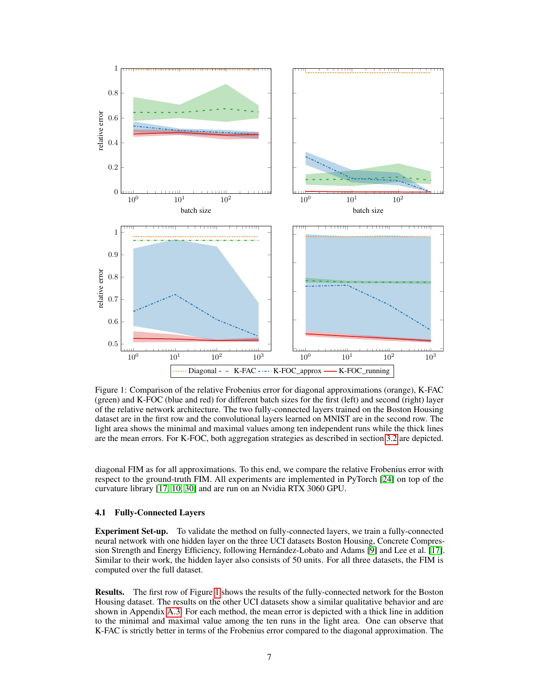<span id="page-6-0"></span>

Figure 1: Comparison of the relative Frobenius error for diagonal approximations (orange), K-FAC (green) and K-FOC (blue and red) for different batch sizes for the first (left) and second (right) layer of the relative network architecture. The two fully-connected layers trained on the Boston Housing dataset are in the first row and the convolutional layers learned on MNIST are in the second row. The light area shows the minimal and maximal values among ten independent runs while the thick lines are the mean errors. For K-FOC, both aggregation strategies as described in section [3.2](#page-4-0) are depicted.

diagonal FIM as for all approximations. To this end, we compare the relative Frobenius error with respect to the ground-truth FIM. All experiments are implemented in PyTorch [\[24\]](#page-8-12) on top of the curvature library [\[17,](#page-8-7) [10,](#page-8-13) [30\]](#page-9-7) and are run on an Nvidia RTX 3060 GPU.

#### 4.1 Fully-Connected Layers

Experiment Set-up. To validate the method on fully-connected layers, we train a fully-connected neural network with one hidden layer on the three UCI datasets Boston Housing, Concrete Compression Strength and Energy Efficiency, following Hernández-Lobato and Adams [\[9\]](#page-8-14) and Lee et al. [\[17\]](#page-8-7). Similar to their work, the hidden layer also consists of 50 units. For all three datasets, the FIM is computed over the full dataset.

Results. The first row of Figure [1](#page-6-0) shows the results of the fully-connected network for the Boston Housing dataset. The results on the other UCI datasets show a similar qualitative behavior and are shown in Appendix [A.3.](#page-12-0) For each method, the mean error is depicted with a thick line in addition to the minimal and maximal value among the ten runs in the light area. One can observe that K-FAC is strictly better in terms of the Frobenius error compared to the diagonal approximation. The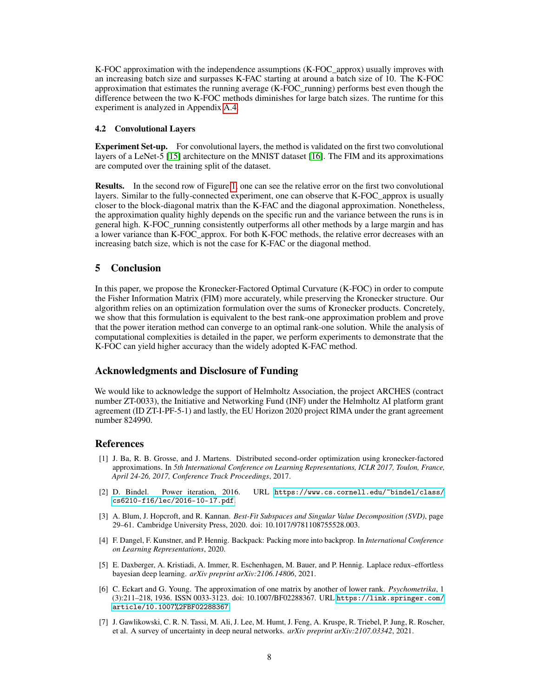K-FOC approximation with the independence assumptions (K-FOC approx) usually improves with an increasing batch size and surpasses K-FAC starting at around a batch size of 10. The K-FOC approximation that estimates the running average (K-FOC\_running) performs best even though the difference between the two K-FOC methods diminishes for large batch sizes. The runtime for this experiment is analyzed in Appendix [A.4.](#page-13-0)

#### 4.2 Convolutional Layers

Experiment Set-up. For convolutional layers, the method is validated on the first two convolutional layers of a LeNet-5 [\[15\]](#page-8-15) architecture on the MNIST dataset [\[16\]](#page-8-16). The FIM and its approximations are computed over the training split of the dataset.

Results. In the second row of Figure [1,](#page-6-0) one can see the relative error on the first two convolutional layers. Similar to the fully-connected experiment, one can observe that K-FOC approx is usually closer to the block-diagonal matrix than the K-FAC and the diagonal approximation. Nonetheless, the approximation quality highly depends on the specific run and the variance between the runs is in general high. K-FOC\_running consistently outperforms all other methods by a large margin and has a lower variance than K-FOC\_approx. For both K-FOC methods, the relative error decreases with an increasing batch size, which is not the case for K-FAC or the diagonal method.

# 5 Conclusion

In this paper, we propose the Kronecker-Factored Optimal Curvature (K-FOC) in order to compute the Fisher Information Matrix (FIM) more accurately, while preserving the Kronecker structure. Our algorithm relies on an optimization formulation over the sums of Kronecker products. Concretely, we show that this formulation is equivalent to the best rank-one approximation problem and prove that the power iteration method can converge to an optimal rank-one solution. While the analysis of computational complexities is detailed in the paper, we perform experiments to demonstrate that the K-FOC can yield higher accuracy than the widely adopted K-FAC method.

## Acknowledgments and Disclosure of Funding

We would like to acknowledge the support of Helmholtz Association, the project ARCHES (contract number ZT-0033), the Initiative and Networking Fund (INF) under the Helmholtz AI platform grant agreement (ID ZT-I-PF-5-1) and lastly, the EU Horizon 2020 project RIMA under the grant agreement number 824990.

#### References

- <span id="page-7-2"></span>[1] J. Ba, R. B. Grosse, and J. Martens. Distributed second-order optimization using kronecker-factored approximations. In *5th International Conference on Learning Representations, ICLR 2017, Toulon, France, April 24-26, 2017, Conference Track Proceedings*, 2017.
- <span id="page-7-5"></span>[2] D. Bindel. Power iteration, 2016. URL [https://www.cs.cornell.edu/~bindel/class/](https://www.cs.cornell.edu/~bindel/class/cs6210-f16/lec/2016-10-17.pdf) [cs6210-f16/lec/2016-10-17.pdf](https://www.cs.cornell.edu/~bindel/class/cs6210-f16/lec/2016-10-17.pdf).
- <span id="page-7-6"></span>[3] A. Blum, J. Hopcroft, and R. Kannan. *Best-Fit Subspaces and Singular Value Decomposition (SVD)*, page 29–61. Cambridge University Press, 2020. doi: 10.1017/9781108755528.003.
- <span id="page-7-0"></span>[4] F. Dangel, F. Kunstner, and P. Hennig. Backpack: Packing more into backprop. In *International Conference on Learning Representations*, 2020.
- <span id="page-7-3"></span>[5] E. Daxberger, A. Kristiadi, A. Immer, R. Eschenhagen, M. Bauer, and P. Hennig. Laplace redux–effortless bayesian deep learning. *arXiv preprint arXiv:2106.14806*, 2021.
- <span id="page-7-4"></span>[6] C. Eckart and G. Young. The approximation of one matrix by another of lower rank. *Psychometrika*, 1 (3):211–218, 1936. ISSN 0033-3123. doi: 10.1007/BF02288367. URL [https://link.springer.com/](https://link.springer.com/article/10.1007%2FBF02288367) [article/10.1007%2FBF02288367](https://link.springer.com/article/10.1007%2FBF02288367).
- <span id="page-7-1"></span>[7] J. Gawlikowski, C. R. N. Tassi, M. Ali, J. Lee, M. Humt, J. Feng, A. Kruspe, R. Triebel, P. Jung, R. Roscher, et al. A survey of uncertainty in deep neural networks. *arXiv preprint arXiv:2107.03342*, 2021.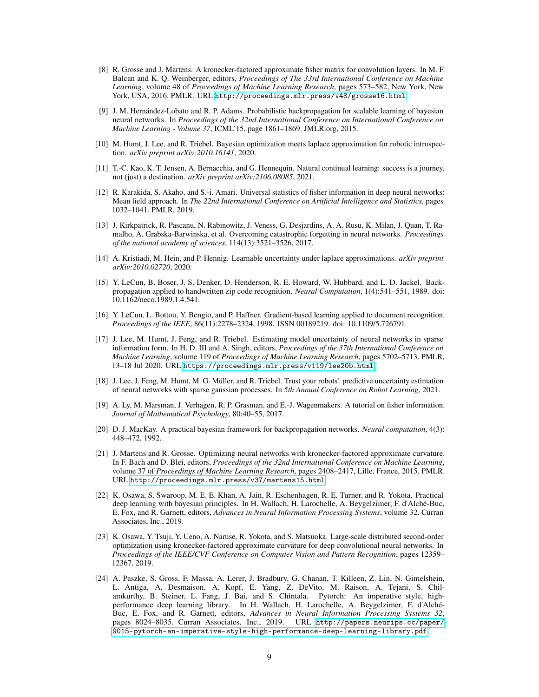- <span id="page-8-11"></span>[8] R. Grosse and J. Martens. A kronecker-factored approximate fisher matrix for convolution layers. In M. F. Balcan and K. Q. Weinberger, editors, *Proceedings of The 33rd International Conference on Machine Learning*, volume 48 of *Proceedings of Machine Learning Research*, pages 573–582, New York, New York, USA, 2016. PMLR. URL <http://proceedings.mlr.press/v48/grosse16.html>.
- <span id="page-8-14"></span>[9] J. M. Hernández-Lobato and R. P. Adams. Probabilistic backpropagation for scalable learning of bayesian neural networks. In *Proceedings of the 32nd International Conference on International Conference on Machine Learning - Volume 37*, ICML'15, page 1861–1869. JMLR.org, 2015.
- <span id="page-8-13"></span>[10] M. Humt, J. Lee, and R. Triebel. Bayesian optimization meets laplace approximation for robotic introspection. *arXiv preprint arXiv:2010.16141*, 2020.
- <span id="page-8-9"></span>[11] T.-C. Kao, K. T. Jensen, A. Bernacchia, and G. Hennequin. Natural continual learning: success is a journey, not (just) a destination. *arXiv preprint arXiv:2106.08085*, 2021.
- <span id="page-8-5"></span>[12] R. Karakida, S. Akaho, and S.-i. Amari. Universal statistics of fisher information in deep neural networks: Mean field approach. In *The 22nd International Conference on Artificial Intelligence and Statistics*, pages 1032–1041. PMLR, 2019.
- <span id="page-8-4"></span>[13] J. Kirkpatrick, R. Pascanu, N. Rabinowitz, J. Veness, G. Desjardins, A. A. Rusu, K. Milan, J. Quan, T. Ramalho, A. Grabska-Barwinska, et al. Overcoming catastrophic forgetting in neural networks. *Proceedings of the national academy of sciences*, 114(13):3521–3526, 2017.
- <span id="page-8-10"></span>[14] A. Kristiadi, M. Hein, and P. Hennig. Learnable uncertainty under laplace approximations. *arXiv preprint arXiv:2010.02720*, 2020.
- <span id="page-8-15"></span>[15] Y. LeCun, B. Boser, J. S. Denker, D. Henderson, R. E. Howard, W. Hubbard, and L. D. Jackel. Backpropagation applied to handwritten zip code recognition. *Neural Computation*, 1(4):541–551, 1989. doi: 10.1162/neco.1989.1.4.541.
- <span id="page-8-16"></span>[16] Y. LeCun, L. Bottou, Y. Bengio, and P. Haffner. Gradient-based learning applied to document recognition. *Proceedings of the IEEE*, 86(11):2278–2324, 1998. ISSN 00189219. doi: 10.1109/5.726791.
- <span id="page-8-7"></span>[17] J. Lee, M. Humt, J. Feng, and R. Triebel. Estimating model uncertainty of neural networks in sparse information form. In H. D. III and A. Singh, editors, *Proceedings of the 37th International Conference on Machine Learning*, volume 119 of *Proceedings of Machine Learning Research*, pages 5702–5713. PMLR, 13–18 Jul 2020. URL <https://proceedings.mlr.press/v119/lee20b.html>.
- <span id="page-8-6"></span>[18] J. Lee, J. Feng, M. Humt, M. G. Müller, and R. Triebel. Trust your robots! predictive uncertainty estimation of neural networks with sparse gaussian processes. In *5th Annual Conference on Robot Learning*, 2021.
- <span id="page-8-0"></span>[19] A. Ly, M. Marsman, J. Verhagen, R. P. Grasman, and E.-J. Wagenmakers. A tutorial on fisher information. *Journal of Mathematical Psychology*, 80:40–55, 2017.
- <span id="page-8-1"></span>[20] D. J. MacKay. A practical bayesian framework for backpropagation networks. *Neural computation*, 4(3): 448–472, 1992.
- <span id="page-8-3"></span>[21] J. Martens and R. Grosse. Optimizing neural networks with kronecker-factored approximate curvature. In F. Bach and D. Blei, editors, *Proceedings of the 32nd International Conference on Machine Learning*, volume 37 of *Proceedings of Machine Learning Research*, pages 2408–2417, Lille, France, 2015. PMLR. URL <http://proceedings.mlr.press/v37/martens15.html>.
- <span id="page-8-2"></span>[22] K. Osawa, S. Swaroop, M. E. E. Khan, A. Jain, R. Eschenhagen, R. E. Turner, and R. Yokota. Practical deep learning with bayesian principles. In H. Wallach, H. Larochelle, A. Beygelzimer, F. d'Alché-Buc, E. Fox, and R. Garnett, editors, *Advances in Neural Information Processing Systems*, volume 32. Curran Associates, Inc., 2019.
- <span id="page-8-8"></span>[23] K. Osawa, Y. Tsuji, Y. Ueno, A. Naruse, R. Yokota, and S. Matsuoka. Large-scale distributed second-order optimization using kronecker-factored approximate curvature for deep convolutional neural networks. In *Proceedings of the IEEE/CVF Conference on Computer Vision and Pattern Recognition*, pages 12359– 12367, 2019.
- <span id="page-8-12"></span>[24] A. Paszke, S. Gross, F. Massa, A. Lerer, J. Bradbury, G. Chanan, T. Killeen, Z. Lin, N. Gimelshein, L. Antiga, A. Desmaison, A. Kopf, E. Yang, Z. DeVito, M. Raison, A. Tejani, S. Chilamkurthy, B. Steiner, L. Fang, J. Bai, and S. Chintala. Pytorch: An imperative style, highperformance deep learning library. In H. Wallach, H. Larochelle, A. Beygelzimer, F. d'Alché-Buc, E. Fox, and R. Garnett, editors, *Advances in Neural Information Processing Systems 32*, pages 8024–8035. Curran Associates, Inc., 2019. URL [http://papers.neurips.cc/paper/](http://papers.neurips.cc/paper/9015-pytorch-an-imperative-style-high-performance-deep-learning-library.pdf) [9015-pytorch-an-imperative-style-high-performance-deep-learning-library.pdf](http://papers.neurips.cc/paper/9015-pytorch-an-imperative-style-high-performance-deep-learning-library.pdf).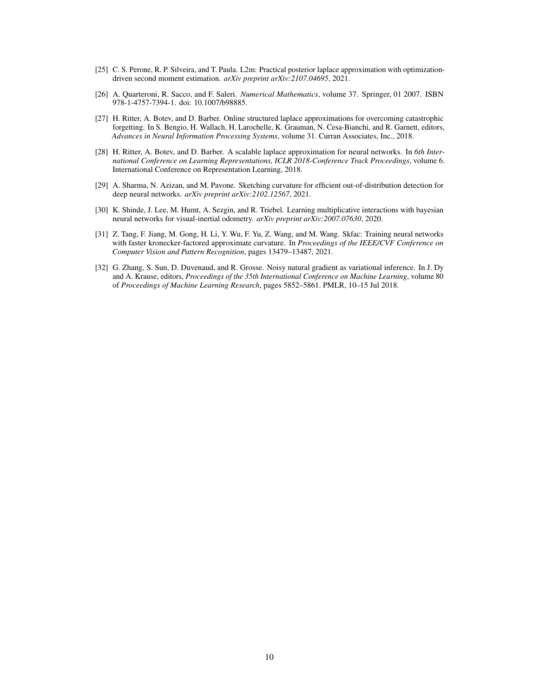- <span id="page-9-5"></span>[25] C. S. Perone, R. P. Silveira, and T. Paula. L2m: Practical posterior laplace approximation with optimizationdriven second moment estimation. *arXiv preprint arXiv:2107.04695*, 2021.
- <span id="page-9-6"></span>[26] A. Quarteroni, R. Sacco, and F. Saleri. *Numerical Mathematics*, volume 37. Springer, 01 2007. ISBN 978-1-4757-7394-1. doi: 10.1007/b98885.
- <span id="page-9-0"></span>[27] H. Ritter, A. Botev, and D. Barber. Online structured laplace approximations for overcoming catastrophic forgetting. In S. Bengio, H. Wallach, H. Larochelle, K. Grauman, N. Cesa-Bianchi, and R. Garnett, editors, *Advances in Neural Information Processing Systems*, volume 31. Curran Associates, Inc., 2018.
- <span id="page-9-1"></span>[28] H. Ritter, A. Botev, and D. Barber. A scalable laplace approximation for neural networks. In *6th International Conference on Learning Representations, ICLR 2018-Conference Track Proceedings*, volume 6. International Conference on Representation Learning, 2018.
- <span id="page-9-4"></span>[29] A. Sharma, N. Azizan, and M. Pavone. Sketching curvature for efficient out-of-distribution detection for deep neural networks. *arXiv preprint arXiv:2102.12567*, 2021.
- <span id="page-9-7"></span>[30] K. Shinde, J. Lee, M. Humt, A. Sezgin, and R. Triebel. Learning multiplicative interactions with bayesian neural networks for visual-inertial odometry. *arXiv preprint arXiv:2007.07630*, 2020.
- <span id="page-9-3"></span>[31] Z. Tang, F. Jiang, M. Gong, H. Li, Y. Wu, F. Yu, Z. Wang, and M. Wang. Skfac: Training neural networks with faster kronecker-factored approximate curvature. In *Proceedings of the IEEE/CVF Conference on Computer Vision and Pattern Recognition*, pages 13479–13487, 2021.
- <span id="page-9-2"></span>[32] G. Zhang, S. Sun, D. Duvenaud, and R. Grosse. Noisy natural gradient as variational inference. In J. Dy and A. Krause, editors, *Proceedings of the 35th International Conference on Machine Learning*, volume 80 of *Proceedings of Machine Learning Research*, pages 5852–5861. PMLR, 10–15 Jul 2018.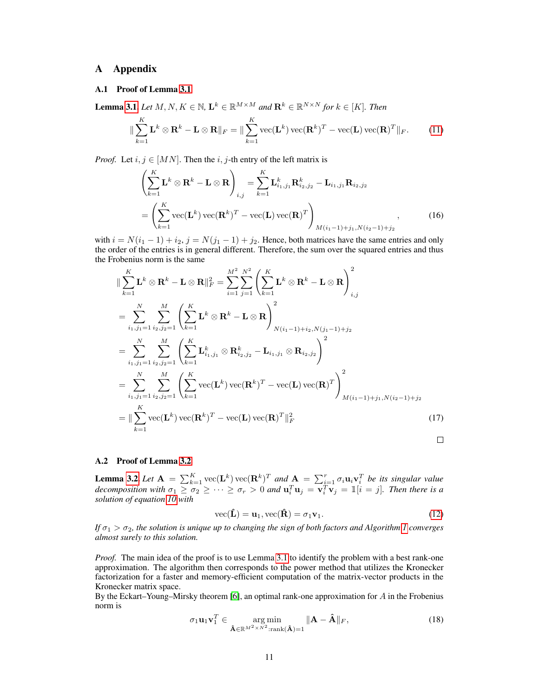# A Appendix

# <span id="page-10-0"></span>A.1 Proof of Lemma [3.1](#page-3-3)

**Lemma [3.1.](#page-3-3)** *Let*  $M, N, K \in \mathbb{N}$ ,  $\mathbf{L}^k \in \mathbb{R}^{M \times M}$  and  $\mathbf{R}^k \in \mathbb{R}^{N \times N}$  for  $k \in [K]$ . Then

$$
\|\sum_{k=1}^K \mathbf{L}^k \otimes \mathbf{R}^k - \mathbf{L} \otimes \mathbf{R}\|_F = \|\sum_{k=1}^K \text{vec}(\mathbf{L}^k) \,\text{vec}(\mathbf{R}^k)^T - \text{vec}(\mathbf{L}) \,\text{vec}(\mathbf{R})^T\|_F. \tag{11}
$$

*Proof.* Let  $i, j \in [MN]$ . Then the  $i, j$ -th entry of the left matrix is

$$
\left(\sum_{k=1}^{K} \mathbf{L}^{k} \otimes \mathbf{R}^{k} - \mathbf{L} \otimes \mathbf{R}\right)_{i,j} = \sum_{k=1}^{K} \mathbf{L}_{i_{1},j_{1}}^{k} \mathbf{R}_{i_{2},j_{2}}^{k} - \mathbf{L}_{i_{1},j_{1}} \mathbf{R}_{i_{2},j_{2}}
$$
\n
$$
= \left(\sum_{k=1}^{K} \text{vec}(\mathbf{L}^{k}) \text{vec}(\mathbf{R}^{k})^{T} - \text{vec}(\mathbf{L}) \text{vec}(\mathbf{R})^{T}\right)_{M(i_{1}-1)+j_{1},N(i_{2}-1)+j_{2}}, \qquad (16)
$$

with  $i = N(i_1 - 1) + i_2$ ,  $j = N(j_1 - 1) + j_2$ . Hence, both matrices have the same entries and only the order of the entries is in general different. Therefore, the sum over the squared entries and thus the Frobenius norm is the same

$$
\|\sum_{k=1}^{K} \mathbf{L}^{k} \otimes \mathbf{R}^{k} - \mathbf{L} \otimes \mathbf{R} \|_{F}^{2} = \sum_{i=1}^{M^{2}} \sum_{j=1}^{N^{2}} \left( \sum_{k=1}^{K} \mathbf{L}^{k} \otimes \mathbf{R}^{k} - \mathbf{L} \otimes \mathbf{R} \right)_{i,j}^{2}
$$
\n
$$
= \sum_{i_{1},j_{1}=1}^{N} \sum_{i_{2},j_{2}=1}^{M} \left( \sum_{k=1}^{K} \mathbf{L}^{k} \otimes \mathbf{R}^{k} - \mathbf{L} \otimes \mathbf{R} \right)_{N(i_{1}-1)+i_{2},N(j_{1}-1)+j_{2}}^{2}
$$
\n
$$
= \sum_{i_{1},j_{1}=1}^{N} \sum_{i_{2},j_{2}=1}^{M} \left( \sum_{k=1}^{K} \mathbf{L}_{i_{1},j_{1}}^{k} \otimes \mathbf{R}_{i_{2},j_{2}}^{k} - \mathbf{L}_{i_{1},j_{1}} \otimes \mathbf{R}_{i_{2},j_{2}} \right)^{2}
$$
\n
$$
= \sum_{i_{1},j_{1}=1}^{N} \sum_{i_{2},j_{2}=1}^{M} \left( \sum_{k=1}^{K} \text{vec}(\mathbf{L}^{k}) \text{vec}(\mathbf{R}^{k})^{T} - \text{vec}(\mathbf{L}) \text{vec}(\mathbf{R})^{T} \right)_{M(i_{1}-1)+j_{1},N(i_{2}-1)+j_{2}}^{2}
$$
\n
$$
= \|\sum_{k=1}^{K} \text{vec}(\mathbf{L}^{k}) \text{vec}(\mathbf{R}^{k})^{T} - \text{vec}(\mathbf{L}) \text{vec}(\mathbf{R})^{T} \|_{F}^{2}
$$
\n(17)

## <span id="page-10-1"></span>A.2 Proof of Lemma [3.2](#page-3-2)

**Lemma [3.2.](#page-3-2)** Let  $\mathbf{A} = \sum_{k=1}^{K}$  vec $(\mathbf{L}^{k})$  vec $(\mathbf{R}^{k})^{T}$  and  $\mathbf{A} = \sum_{i=1}^{r} \sigma_{i} \mathbf{u}_{i} \mathbf{v}_{i}^{T}$  be its singular value *decomposition with*  $\sigma_1 \geq \sigma_2 \geq \cdots \geq \sigma_r > 0$  and  $\mathbf{u}_i^T \mathbf{u}_j = \mathbf{v}_i^T \mathbf{v}_j = \mathbb{1}[i = j]$ . Then there is a *solution of equation [10](#page-3-1) with*

$$
\text{vec}(\hat{\mathbf{L}}) = \mathbf{u}_1, \text{vec}(\hat{\mathbf{R}}) = \sigma_1 \mathbf{v}_1. \tag{12}
$$

*If*  $\sigma_1 > \sigma_2$ , the solution is unique up to changing the sign of both factors and Algorithm [1](#page-4-1) converges *almost surely to this solution.*

*Proof.* The main idea of the proof is to use Lemma [3.1](#page-3-3) to identify the problem with a best rank-one approximation. The algorithm then corresponds to the power method that utilizes the Kronecker factorization for a faster and memory-efficient computation of the matrix-vector products in the Kronecker matrix space.

By the Eckart–Young–Mirsky theorem [\[6\]](#page-7-4), an optimal rank-one approximation for  $\overline{A}$  in the Frobenius norm is

$$
\sigma_1 \mathbf{u}_1 \mathbf{v}_1^T \in \underset{\mathbf{\hat{A}} \in \mathbb{R}^{M^2 \times N^2}: \text{rank}(\mathbf{\hat{A}})=1}{\arg \min} \|\mathbf{A} - \mathbf{\hat{A}}\|_F, \tag{18}
$$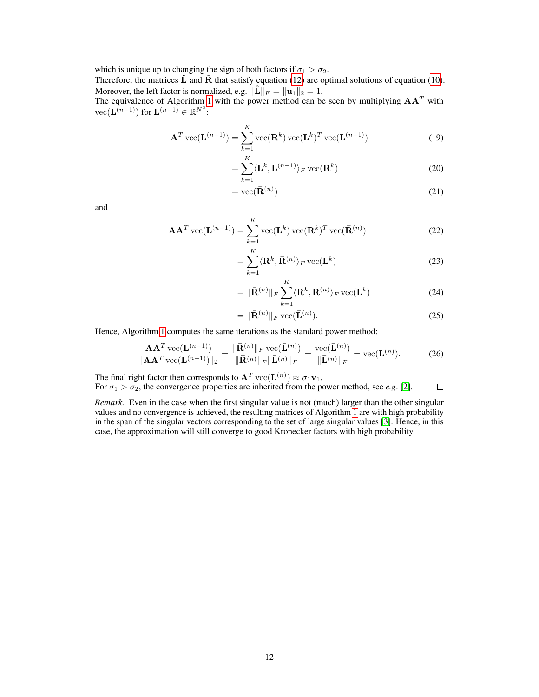which is unique up to changing the sign of both factors if  $\sigma_1 > \sigma_2$ .

Therefore, the matrices  $\hat{\bf L}$  and  $\hat{\bf R}$  that satisfy equation [\(12\)](#page-3-5) are optimal solutions of equation [\(10\)](#page-3-1). Moreover, the left factor is normalized, e.g.  $\|\mathbf{\hat{L}}\|_F = \|\mathbf{u}_1\|_2 = 1$ .

The equivalence of Algorithm [1](#page-4-1) with the power method can be seen by multiplying  $AA<sup>T</sup>$  with  $\mathrm{vec}(\mathbf{L}^{(n-1)})$  for  $\mathbf{L}^{(n-1)} \in \mathbb{R}^{N^2}$ :

$$
\mathbf{A}^T \operatorname{vec}(\mathbf{L}^{(n-1)}) = \sum_{k=1}^K \operatorname{vec}(\mathbf{R}^k) \operatorname{vec}(\mathbf{L}^k)^T \operatorname{vec}(\mathbf{L}^{(n-1)})
$$
(19)

$$
=\sum_{k=1}^{K} \langle \mathbf{L}^{k}, \mathbf{L}^{(n-1)} \rangle_{F} \operatorname{vec}(\mathbf{R}^{k})
$$
(20)

$$
= \text{vec}(\bar{\mathbf{R}}^{(n)}) \tag{21}
$$

and

$$
\mathbf{A}\mathbf{A}^T \operatorname{vec}(\mathbf{L}^{(n-1)}) = \sum_{k=1}^K \operatorname{vec}(\mathbf{L}^k) \operatorname{vec}(\mathbf{R}^k)^T \operatorname{vec}(\bar{\mathbf{R}}^{(n)})
$$
(22)

$$
=\sum_{k=1}^{K}\langle \mathbf{R}^{k}, \mathbf{\bar{R}}^{(n)}\rangle_{F} \operatorname{vec}(\mathbf{L}^{k})
$$
\n(23)

$$
= \|\bar{\mathbf{R}}^{(n)}\|_{F} \sum_{k=1}^{K} \langle \mathbf{R}^{k}, \mathbf{R}^{(n)} \rangle_{F} \operatorname{vec}(\mathbf{L}^{k})
$$
(24)

$$
= \|\bar{\mathbf{R}}^{(n)}\|_{F} \operatorname{vec}(\bar{\mathbf{L}}^{(n)}).
$$
 (25)

Hence, Algorithm [1](#page-4-1) computes the same iterations as the standard power method:

$$
\frac{\mathbf{A}\mathbf{A}^T \operatorname{vec}(\mathbf{L}^{(n-1)})}{\|\mathbf{A}\mathbf{A}^T \operatorname{vec}(\mathbf{L}^{(n-1)})\|_2} = \frac{\|\bar{\mathbf{R}}^{(n)}\|_F \operatorname{vec}(\bar{\mathbf{L}}^{(n)})}{\|\bar{\mathbf{R}}^{(n)}\|_F \|\bar{\mathbf{L}}^{(n)}\|_F} = \frac{\operatorname{vec}(\bar{\mathbf{L}}^{(n)})}{\|\bar{\mathbf{L}}^{(n)}\|_F} = \operatorname{vec}(\mathbf{L}^{(n)}).
$$
(26)

The final right factor then corresponds to  $\mathbf{A}^T$  vec $(\mathbf{L}^{(n)}) \approx \sigma_1 \mathbf{v}_1$ . For  $\sigma_1 > \sigma_2$ , the convergence properties are inherited from the power method, see *e.g.* [\[2\]](#page-7-5).  $\Box$ 

*Remark.* Even in the case when the first singular value is not (much) larger than the other singular values and no convergence is achieved, the resulting matrices of Algorithm [1](#page-4-1) are with high probability in the span of the singular vectors corresponding to the set of large singular values [\[3\]](#page-7-6). Hence, in this case, the approximation will still converge to good Kronecker factors with high probability.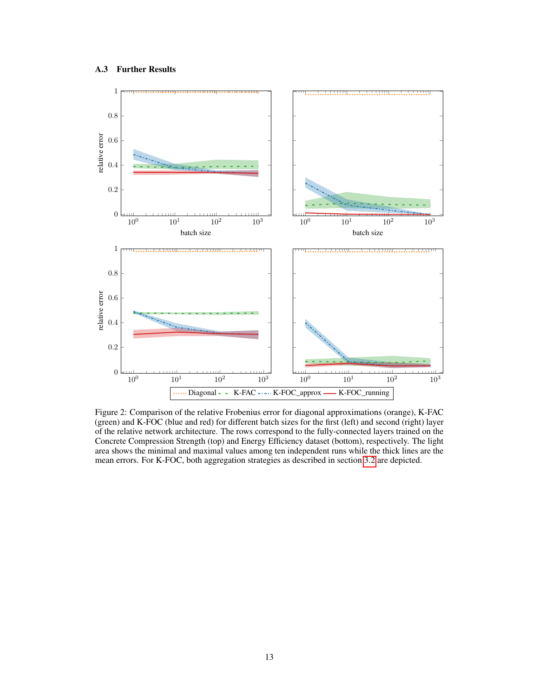# <span id="page-12-0"></span>A.3 Further Results



Figure 2: Comparison of the relative Frobenius error for diagonal approximations (orange), K-FAC (green) and K-FOC (blue and red) for different batch sizes for the first (left) and second (right) layer of the relative network architecture. The rows correspond to the fully-connected layers trained on the Concrete Compression Strength (top) and Energy Efficiency dataset (bottom), respectively. The light area shows the minimal and maximal values among ten independent runs while the thick lines are the mean errors. For K-FOC, both aggregation strategies as described in section [3.2](#page-4-0) are depicted.